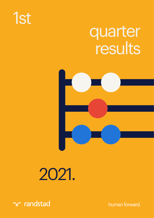# 1st

# quarter results



# 2021.



human forward.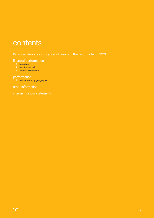# contents

[Randstad delivers a strong set of results in the first quarter of 2021.](#page-2-0)

#### [financial performance](#page-3-0)

- 4 [core data](#page-3-0)
- 7 [invested capital](#page-6-0)
- 8 [cash flow summary](#page-7-0)

#### [performance](#page-8-0)

9 [performance by geography](#page-8-0)

[other information](#page-11-0)

[interim financial statements](#page-13-0)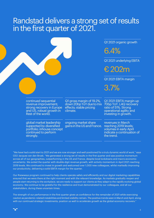# <span id="page-2-0"></span>Randstad delivers a strong set of results in the first quarter of 2021.

|                                                                                                                             |                                                                                              | Q1 2021 organic growth<br>6.4%<br>Q1 2021 underlying EBITA<br>€202m                                                          |
|-----------------------------------------------------------------------------------------------------------------------------|----------------------------------------------------------------------------------------------|------------------------------------------------------------------------------------------------------------------------------|
|                                                                                                                             |                                                                                              | Q1 2021 EBITA margin<br>3.7%                                                                                                 |
| continued sequential<br>revenue improvement;<br>strong recovery in Europe<br>and US, robust growth in<br>Rest of the world. | Q1 gross margin of 19.2%,<br>down 20bp YoY due to mix<br>effects; stable pricing<br>climate. | Q1 2021 EBITA margin up<br>70bp YoY. L4Q recovery<br>ratio of 51%. Strong<br>operational agility and<br>investing in growth. |
| global market leadership<br>supported by diversified<br>portfolio; inhouse concept<br>continued to perform<br>strongly.     | ongoing market share<br>gains in the US and France.                                          | revenues in March<br>reaching 2019 levels;<br>volumes in early April<br>indicate a continuation of<br>the trend.             |

"We have had a solid start to 2021 and we are now stronger and well-positioned for a truly dynamic world of work," says CEO Jacques van den Broek. "We generated a strong set of results in the first quarter and saw positive momentum across all of our geographies, outperforming in the US and France, despite local lockdowns and macro-economic uncertainty. We exited the quarter with double-digit revenue growth, with activity momentum in April 2021 reaching 2019 levels. We continued to invest in growth and welcomed over 1,000 new colleagues, whilst markedly improving our productivity, delivering a solid EBITA margin for the quarter.

Our #newways program continued to help clients operate safely and efficiently and our digital marketing capabilities ensured that we were there at the right moment and with the relevant knowledge. As markets gradually reopen and people start returning to the workplace, we are ready to support our clients as they adapt to the rapidly evolving global economy. We continue to be grateful for the resilience and trust demonstrated by our colleagues, and all our stakeholders, during these uncertain times.

The strength of our performance in the first quarter gives us confidence for the remainder of 2021 while exercising caution as pandemic-related instabilities and limited visibility remain. The positive trends seen in March and April, along with our continued strategic investments, position us well to accelerate growth as the global economy recovers."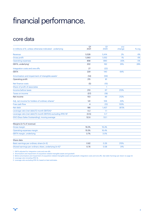# <span id="page-3-0"></span>financial performance.

### core data

| in millions of $\epsilon$ , unless otherwise indicated - underlying      | Q1<br>2021               | Q <sub>1</sub><br>2020 | yoy<br>change | % org. |
|--------------------------------------------------------------------------|--------------------------|------------------------|---------------|--------|
| Revenue                                                                  | 5.528                    | 5.414                  | 2%            | 6%     |
| <b>Gross profit</b>                                                      | 1,060                    | 1,052                  | 1%            | 6%     |
| <b>Operating expenses</b>                                                | 858                      | 890                    | (4)%          | 0%     |
| EBITA, underlying <sup>1</sup>                                           | 202                      | 162                    | 25%           | 28%    |
| Integration costs and one-offs                                           | 27                       | (22)                   |               |        |
| <b>EBITA</b>                                                             | 229                      | 140                    | 64%           |        |
| Amortization and impairment of intangible assets <sup>2</sup>            | (14)                     | (59)                   |               |        |
| Operating profit                                                         | 215                      | 81                     |               |        |
| Net finance costs                                                        | (5)                      | (15)                   |               |        |
| Share of profit of associates                                            |                          | $\mathbf{1}$           |               |        |
| Income before taxes                                                      | 210                      | 67                     | 213%          |        |
| <b>Taxes on income</b>                                                   | (57)                     | (18)                   |               |        |
| Net income                                                               | 153                      | 49                     | 212%          |        |
| Adj. net income for holders of ordinary shares <sup>3</sup>              | 141                      | 106                    | 33%           |        |
| Free cash flow                                                           | $\overline{\mathcal{A}}$ | (12)                   | 133%          |        |
| Net debt                                                                 | 186                      | 1,437                  | (87)%         |        |
| Leverage ratio (net debt/12-month EBITDA) <sup>4</sup>                   | 0.2                      | 1.1                    |               |        |
| Leverage ratio (net debt/12-month EBITDA) excluding IFRS 16 <sup>5</sup> | (0.5)                    | 0.7                    |               |        |
| DSO (Days Sales Outstanding), moving average                             | 52.6                     | 53.1                   |               |        |
| Margins (in % of revenue)                                                |                          |                        |               |        |
| Gross margin                                                             | 19.2%                    | 19.4%                  |               |        |
| Operating expenses margin                                                | 15.5%                    | 16.4%                  |               |        |
| EBITA margin, underlying                                                 | 3.7%                     | 3.0%                   |               |        |
| Share data                                                               |                          |                        |               |        |
| Basic earnings per ordinary share (in €)                                 | 0.82                     | 0.26                   | 215%          |        |
| Diluted earnings per ordinary share, underlying (in €) <sup>3</sup>      | 0.76                     | 0.58                   | 31%           |        |

1 EBITA adjusted for integration costs and one-offs.

2 Amortization and impairment of acquisition-related intangible assets and goodwill.

3 Before amortization and impairment of acquisition-related intangible assets and goodwill, integration costs and one-offs. See table 'Earnings per share' on page 22.

4 Leverage ratio including IFRS 16.

5 Leverage ratio excluding IFRS 16, based on best estimates.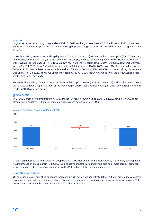#### revenue

Organic revenue per working day grew by 6.4% in Q1 2021resulting in revenue of € 5,528 million (Q4 2020: down 3.6%). Reported revenue was up 2.1% YoY, of which working days had a negative effect of 1.7% while FX had a negative effect of 2.6%.

In North America, revenue per working day was up 5% (Q4 2020: up 1%). Growth in the US was up 5% (Q4 2020: up 1%), while Canada was up 7% YoY (Q4 2020: down 5%). In Europe, revenue per working day grew by 6% (Q4 2020: down 5%). Revenue in France was up 4% (Q4 2020: down 7%), while the Netherlands was up 9% (Q4 2020: down 6%). Germany was up 5% (Q4 2020: down 5%), while sales growth in Belgium was up 1% (Q4 2020: down 3%). Revenue in Italy was up 20% (Q4 2020: flat), while revenue in Iberia was down 2% (Q4 2020: down 4%). In the 'Rest of the world' region, revenue was up by 11% (Q4 2020: down 1%); Japan increased by 4% (Q4 2020: down 4%), while Australia & New Zealand rose by 15% (Q4 2020: down 5%).

Perm fees declined by 5% (Q4 2020: down 19%), with Europe down 5% (Q4 2020: down 17%) and North America down 7% (Q4 2020: down 21%). In the 'Rest of the world' region, perm fees declined by 2% (Q4 2020: down 23%). Perm fees made up 10.4% of gross profit.

#### gross profit

In Q1 2021, gross profit amounted to € 1,060 million. Organic growth was up 5.9% (Q4 2020: down 5.7%). Currency effects had a negative € 32 million impact on gross profit compared to Q1 2020.



year-on-year gross margin development (%)

Gross margin was 19.2% in the quarter, 20bp below Q1 2020 (as shown in the graph above). Temporary staffing had a neutral impact on gross margin (Q4 2020: 10bp negative impact), with underlying pricing climate stable. Permanent placements had a 10bp negative impact, while HRS/other had a 10bp adverse impact.

#### operating expenses

On an organic basis, operating expenses increased by €12 million sequentially to € 858 million. This includes selective investments in growth and digital initiatives. Compared to last year, operating expenses were stable organically (Q4 2020: down 4%), while there was a positive € 27 million FX impact.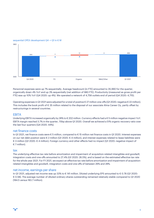

#### sequential OPEX development Q4 -> Q1 in € M

Personnel expenses were up 7% sequentially. Average headcount (in FTE) amounted to 35,990 for the quarter, organically down 4% YoY and up 3% sequentially (net addition of 980 FTE). Productivity (measured as gross profit per FTE) was up 10% YoY (Q4 2020: up 4%). We operated a network of 4,758 outlets end of period (Q4 2020: 4,715).

Operating expenses in Q1 2021 were adjusted for a total of positive € 27 million one-offs (Q1 2020: negative € 22 million). This includes the book profit of € 35 million related to the disposal of our associate Alma Career Oy, partly offset by restructurings in several countries.

#### EBITA

Underlying EBITA increased organically by 28% to € 202 million. Currency effects had a € 5 million negative impact YoY. EBITA margin reached 3.7% in the quarter, 70bp above Q1 2020. Overall we achieved a 51% organic recovery ratio over the last four quarters (Q4 2020: 44%).

#### net finance costs

In Q1 2021, net finance costs were € 5 million, compared to € 15 million net finance costs in Q1 2020. Interest expenses on our net debt position were € 2 million (Q1 2020: € 4 million), and interest expenses related to lease liabilities were € 3 million (Q1 2020: € 4 million). Foreign currency and other effects had no impact (Q1 2020: negative impact of € 7 million).

#### tax

The underlying effective tax rate before amortization and impairment of acquisition-related intangibles and goodwill, integration costs and one-offs amounted to 27.4% (Q1 2020: 26.5%), and is based on the estimated effective tax rate for the whole year 2021. For FY 2021, we expect an effective tax rate before amortization and impairment of acquisitionrelated intangibles and goodwill, integration costs and one-offs of between 26% and 28%.

#### net income, earnings per share

In Q1 2021, adjusted net income was up 33% to € 141 million. Diluted underlying EPS amounted to € 0.76 (Q1 2020: € 0.58). The average number of diluted ordinary shares outstanding remained relatively stable compared to Q1 2020 (184.5 versus 183.7 million).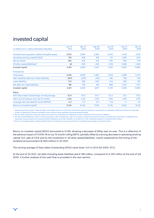### <span id="page-6-0"></span>invested capital

| in millions of $\epsilon$ , unless otherwise indicated | mar <sub>31</sub><br>2021 | dec.31<br>2020 | sep 30<br>2020 | iun 30<br>2020 | mar 31<br>2020 | dec 31<br>2019 |
|--------------------------------------------------------|---------------------------|----------------|----------------|----------------|----------------|----------------|
| Goodwill and acquisition-related intangible assets     | 2,970                     | 2,960          | 2,995          | 3,043          | 3,146          | 3,219          |
| Operating working capital (OWC) <sup>1</sup>           | 795                       | 658            | 618            | 611            | 1,055          | 1,011          |
| Net tax assets $2$                                     | 692                       | 676            | 613            | 642            | 656            | 575            |
| All other assets/(liabilities) <sup>3</sup>            | (6)                       | 630            | 645            | 1,019          | 1,068          | 1,045          |
| Invested capital                                       | 4,451                     | 4,924          | 4,871          | 5,315          | 5,925          | 5,850          |
| Financed by                                            |                           |                |                |                |                |                |
| <b>Total equity</b>                                    | 4,265                     | 4,669          | 4.480          | 4,419          | 4,488          | 4,473          |
| (Net Cash)/Net debt excl. lease liabilities            | (387)                     | (333)          | (212)          | 282            | 799            | 756            |
| Lease liabilities                                      | 573                       | 588            | 603            | 614            | 638            | 621            |
| Net debt incl. lease liabilities                       | 186                       | 255            | 391            | 896            | 1,437          | 1,377          |
| Invested capital                                       | 4,451                     | 4,924          | 4,871          | 5,315          | 5,925          | 5,850          |
| Ratios                                                 |                           |                |                |                |                |                |
| DSO (Days Sales Outstanding), moving average           | 52.6                      | 52.9           | 53.0           | 53.0           | 53.1           | 53.5           |
| OWC as % of revenue over last 12 months                | 3.8%                      | 3.2%           | 2.9%           | 2.8%           | 4.5%           | 4.3%           |
| Leverage ratio (net debt/12-month EBITDA)              | 0.2                       | 0.3            | 0.4            | 0.8            | 1.1            | 1.0            |
| Return on invested capital <sup>4</sup>                | 12.9%                     | 10.4%          | 11.8%          | 12.3%          | 13.8%          | 15.2%          |

1 Operating working capital: Trade and other receivables minus the current part of financial assets (including net investments in subleases), deferred receipts from disposed Group companies and interest receivable minus trade and other payables excluding interest payable.

2 Net tax assets: Deferred income tax assets and income tax receivables less deferred income tax liabilities and income tax liabilities.

3 All other assets/(liabilities), mainly containing property, plant & equipment, right of use assets, software plus financial assets (including net investments in subleases) and

associates, less provisions and employee benefit obligations and other liabilities. As at March 31, 2021, dividends payable is included (€ 604 million)

4 Return on invested capital: underlying EBITA (last 12 months) less income tax paid (last 12 months) as percentage of invested capital.

Return on invested capital (ROIC) amounted to 12.9%, showing a decrease of 90bp year-on-year. This is a reflection of the adverse impact of COVID-19 on our 12-month rolling EBITA, partially offset by a strong decrease in operating working capital YoY, sale of CICE and by the movement in 'all other assets/liabilities', mainly explained by the timing of the dividend announcement (€ 604 million) in Q1 2021.

The moving average of Days Sales Outstanding (DSO) came down YoY to 52.6 (Q1 2020: 53.1).

At the end of Q1 2021, net debt including lease liabilities was € 186 million, compared to € 255 million at the end of Q4 2020. A further analysis of the cash flow is provided in the next section.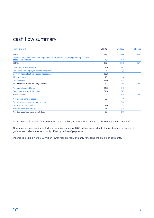### <span id="page-7-0"></span>cash flow summary

| in millions of $\epsilon$                                                                                     | Q1 2021        | Q1 2020 | change |
|---------------------------------------------------------------------------------------------------------------|----------------|---------|--------|
| <b>EBITA</b>                                                                                                  | 229            | 140     | 64%    |
| Depreciation, amortization and impairment of property, plant, equipment, right-of-use<br>assets, and software | 78             | 88      |        |
| <b>EBITDA</b>                                                                                                 | 307            | 228     | 35%    |
| Operating working capital                                                                                     | (114)          | (62)    |        |
| Provisions and employee benefit obligations                                                                   | 3              | (7)     |        |
| Gain on disposal subsidiaries and associates                                                                  | (35)           | $\sim$  |        |
| All other items                                                                                               | 10             | 6       |        |
| Income taxes                                                                                                  | (72)           | (94)    |        |
| Net cash flow from operating activities                                                                       | 99             | 71      | 39%    |
| Net capital expenditures                                                                                      | (45)           | (26)    |        |
| <b>Repayments of lease liabilities</b>                                                                        | (50)           | (57)    |        |
| Free cash flow                                                                                                | $\overline{4}$ | (12)    | 133%   |
| Net (acquisitions)/disposals                                                                                  | 53             | (9)     |        |
| Net purchase of own ordinary shares                                                                           |                | (10)    |        |
| Net finance costs paid                                                                                        | (3)            | (4)     |        |
| <b>Translation and other effects</b>                                                                          | 15             | (25)    |        |
| Net decrease/(increase) of net debt                                                                           | 69             | (60)    |        |

In the quarter, free cash flow amounted to € 4 million, up € 16 million versus Q1 2020 (negative € 12 million).

Operating working capital included a negative impact of € 85 million mainly due to the postponed payments of government relief measures, partly offset by timing of payments.

Income taxes paid were € 22 million lower year-on-year, primarily reflecting the timing of payments.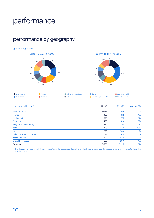# <span id="page-8-0"></span>performance.

# performance by geography

#### split by geography





| North America | $\blacksquare$ France | Belgium & Luxembourg | <b>D</b> Iberia          | Rest of the world |
|---------------|-----------------------|----------------------|--------------------------|-------------------|
| • Netherlands | Germany               | <b>l</b> taly        | Other European countries | Global Businesses |

| revenue in millions of $\epsilon$ | Q1 2021 | Q1 2020 | organic $\Delta\%$ |
|-----------------------------------|---------|---------|--------------------|
| <b>North America</b>              | 1,033   | 1,099   | 5%                 |
| France                            | 833     | 812     | 4%                 |
| <b>Netherlands</b>                | 776     | 721     | 9%                 |
| Germany                           | 428     | 418     | 5%                 |
| Belgium & Luxembourg              | 352     | 357     | 1%                 |
| Italy                             | 423     | 357     | 20%                |
| Iberia                            | 328     | 339     | (2)%               |
| <b>Other European countries</b>   | 527     | 514     | 5%                 |
| Rest of the world                 | 571     | 528     | 11%                |
| <b>Global businesses</b>          | 257     | 269     | 4%                 |
| Revenue                           | 5,528   | 5,414   | 6%                 |
|                                   |         |         |                    |

1 Organic change is measured excluding the impact of currencies, acquisitions, disposals, and reclassifications. Forrevenue, the organic change has been adjusted forthe number of working days.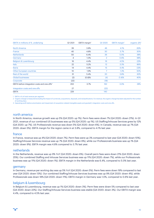| EBITA in millions of €, underlying                       | Q1 2021 | EBITA margin <sup>1</sup> | Q1 2020        | EBITA margin <sup>1</sup> | organic $\Delta\%^2$ |
|----------------------------------------------------------|---------|---------------------------|----------------|---------------------------|----------------------|
| <b>North America</b>                                     | 39      | 3.8%                      | 46             | 4.1%                      | $(6)$ %              |
| France                                                   | 40      | 4.8%                      | 30             | 3.7%                      | 30%                  |
| <b>Netherlands</b>                                       | 50      | 6.4%                      | 36             | 5.0%                      | 38%                  |
| Germany                                                  | 4       | 1.0%                      | $\overline{2}$ | 0.6%                      | 98%                  |
| Belgium & Luxembourg                                     | 16      | 4.4%                      | 16             | 4.5%                      | $(2)$ %              |
| <b>Italy</b>                                             | 22      | 5.2%                      | 12             | 3.3%                      | 86%                  |
| Iberia                                                   | 14      | 4.4%                      | 15             | 4.4%                      | (3)%                 |
| <b>Other European countries</b>                          | 10      | 1.9%                      | $\overline{7}$ | 1.3%                      | 50%                  |
| Rest of the world                                        | 31      | 5.4%                      | 20             | 3.8%                      | 62%                  |
| <b>Global businesses</b>                                 | (2)     | $(0.8)$ %                 | (4)            | (1.4)%                    | 40%                  |
| Corporate                                                | (22)    |                           | (18)           |                           |                      |
| EBITA before integration costs and one-offs <sup>3</sup> | 202     | 3.7%                      | 162            | 3.0%                      | 28%                  |
| Integration costs and one-offs                           | 27      |                           | (22)           |                           |                      |
| <b>EBITA</b>                                             | 229     |                           | 140            |                           |                      |

1 EBITA in % of total revenue per segment.

2 Organic change is measured excluding the impact of currencies, acquisitions, disposals, and reclassifications. Forrevenue, the organic change has been adjusted forthe number of working days.

3 Operating profit before amortization and impairment of acquisition-related intangible assets and goodwill, integration costs and one-offs.

#### north america

In North America, revenue growth was up 5% (Q4 2020: up 1%). Perm fees were down 7% (Q4 2020: down 21%). In Q1 2021, revenue of our combined US businesses was up 5% (Q4 2020: up 1%). US Staffing/Inhouse Services grew by 12% (Q4 2020: up 7%). US Professionals revenue was down 5% (Q4 2020: down 6%). In Canada, revenue was up 7% (Q4 2020: down 5%). EBITA margin for the region came in at 3.8%, compared to 4.1% last year.

#### france

In France, revenue was up 4% (Q4 2020: down 7%). Perm fees were up 3% compared to last year (Q4 2020: down 10%). Staffing/Inhouse Services revenue was up 7% (Q4 2020: down 6%), while our Professionals business was up 1% (Q4 2020: down 9%). EBITA margin was 4.8% compared to 3.7% last year.

#### netherlands

In the Netherlands, revenue was up 9% YoY (Q4 2020: down 6%). Overall perm fees were down 21% (Q4 2020: down 25%). Our combined Staffing and Inhouse Services business was up 11% (Q4 2020: down 7%), while our Professionals business was up 11% (Q4 2020: down 1%). EBITA margin in the Netherlands was 6.4%, compared to 5.0% last year.

#### germany

In Germany, revenue per working day was up 5% YoY (Q4 2020: down 5%). Perm fees were down 19% compared to last year (Q4 2020: down 13%). Our combined Staffing/Inhouse Services business was up 9% (Q4 2020: down 4%), while Professionals was down 18% (Q4 2020: down 11%). EBITA margin in Germany was 1.0%, compared to 0.6% last year.

#### belgium & luxembourg

In Belgium & Luxembourg, revenue was up 1% (Q4 2020: down 3%). Perm fees were down 5% compared to last year (Q4 2020: down 22%). Our Staffing/Inhouse Services business was stable (Q4 2020: down 3%). Our EBITA margin was 4.4%, compared to 4.5% last year.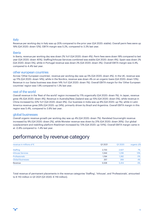#### italy

Revenue per working day in Italy was up 20% compared to the prior year (Q4 2020: stable). Overall perm fees were up 19% (Q4 2020: down 12%). EBITA margin was 5.2%, compared to 3.3% last year.

#### iberia

In Iberia, revenue per working day was down 2% YoY (Q4 2020: down 4%). Perm fees were down 18% compared to last year (Q4 2020: down 40%). Staffing/Inhouse Services combined was stable (Q4 2020: down 4%). Spain was down 2% (Q4 2020: down 5%), while in Portugal revenue was down 2% (Q4 2020: down 3%). Overall EBITA margin was 4.4%, compared to 4.4% last year.

#### other european countries

Across 'Other European countries', revenue per working day was up 5% (Q4 2020: down 4%). In the UK, revenue was up 11% (Q4 2020: down 14%), while in the Nordics, revenue was down 4% on an organic basis (Q4 2020: down 13%). Revenue in our Swiss business was down 14% YoY (Q4 2020: down 1%). Overall EBITA margin for the 'Other European countries' region was 1.9% compared to 1.3% last year.

#### rest of the world

Overall revenue in the 'Rest of the world' region increased by 11% organically (Q4 2020: down 1%). In Japan, revenue grew 4% (Q4 2020: down 4%). Revenue in Australia/New Zealand was up 15% (Q4 2020: down 5%), while revenue in China increased by 22% YoY (Q4 2020: down 9%). Our business in India was up 8% (Q4 2020: up 1%), while in Latin America revenue grew 29% (Q4 2020: up 24%), primarily driven by Brazil and Argentina. Overall EBITA margin in this region was 5.4%, compared to 3.8% last year.

#### global businesses

Overall organic revenue growth per working day was up 4% (Q4 2020: down 7%). Randstad Sourceright revenue increased by 9% (Q4 2020: down 2%), while Monster revenue was down by 21% (Q4 2020: down 26%). Our global outplacement and reskilling platform RiseSmart increased by 72% (Q4 2020: up 131%). Overall EBITA margin came in at -0.8% compared to -1.4% last year.

### performance by revenue category

| revenue in millions of $\epsilon$ | Q1 2021 | Q1 2020 | organic $\Delta$ % |
|-----------------------------------|---------|---------|--------------------|
| <b>Staffing</b>                   | 2,733   | 2,627   | 7%                 |
| <b>Inhouse Services</b>           | 1.344   | 1.236   | 13%                |
| Professionals                     | 1.194   | 1,282   | 0%                 |
| <b>Global Businesses</b>          | 257     | 269     | 4%                 |
| Revenue                           | 5.528   | 5,414   | 6%                 |

Total revenue of permanent placements in the revenue categories 'Staffing', 'Inhouse', and 'Professionals', amounted to € 110 million in Q1 2021 (Q1 2020: € 119 million).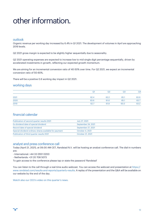# <span id="page-11-0"></span>other information.

#### outlook

Organic revenue per working day increased by 6.4% in Q1 2021. The development of volumes in April are approaching 2019 levels.

Q2 2021 gross margin is expected to be slightly higher sequentially due to seasonality.

Q2 2021 operating expenses are expected to increase low to mid single digit percentage sequentially, driven by accelerated investments in growth, reflecting our expected growth momentum.

We are aiming for an incremental conversion ratio of 40-50% over time. For Q2 2021, we expect an incremental conversion ratio of 50-60%.

There will be a positive 0.6 working day impact in Q2 2021.

#### working days

|      | Q1   | Q2   | Q <sub>3</sub> | Q <sub>4</sub> |
|------|------|------|----------------|----------------|
| 2021 | 62.4 | 62.2 | 65.1           | 63.9           |
| 2020 | 63.6 | 61.6 | 65.1           | 63.7           |
| 2019 | 62.7 | 61.8 | 65.0           | 63.2           |

#### financial calendar

| Publication of second quarter results 2021             | July 27, 2021      |
|--------------------------------------------------------|--------------------|
| Ex-dividend date of special dividend                   | September 24, 2021 |
| Record date of special dividend                        | September 27, 2021 |
| Special dividend ordinary shares available for payment | October 4, 2021    |
| Publication of third quarter results 2021              | October 21, 2021   |

#### analyst and press conference call

Today (April 21, 2021), at 09.00 AM CET, Randstad N.V. will be hosting an analyst conference call. The dial-in numbers are:

- International: +44 33 0551 0200

- Netherlands: +31 20 708 5073

To gain access to the conference please tap or state the password 'Randstad'

You can listen to the call through a real-time audio webcast. You can access the webcast and presentation at [https://](https://www.randstad.com/investor-relations/results-and-reports/quarterly-results/) [www.randstad.com/results-and-reports/quarterly-results](https://www.randstad.com/investor-relations/results-and-reports/quarterly-results/). A replay of the presentation and the Q&A will be available on our website by the end of the day.

[Watch also our CEO's video on this quarter's news.](https://youtu.be/yEQtk1gotTI)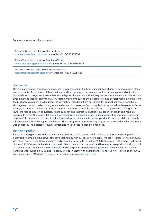#### For more information please contact:

Bisera Grubesic - Director Investor Relations [bisera.grubesic@randstad.com](mailto:bisera.grubesic@randstad.com) or (mobile) +31 (0)6 2088 2592

Steven Vriesendorp - Investor Relations Officer [steven.vriesendorp@randstad.com](mailto:steven.vriesendorp@randstad.com) or (mobile) +31 (0)6 2692 8529

Elise Martin-Davies - Global Media Relations Lead [elise.martin-davies@randstad.com](mailto:elise.martin-davies@randstad.com) or (mobile) +31 (0)6 1322 5136

#### disclaimer

Certain statements in this document concern prognoses about the future financial condition, risks, investment plans, and the results of operations of Randstad N.V. and its operating companies, as well as certain plans and objectives. Obviously, such prognoses involve risks and a degree of uncertainty, since they concern future events and depend on circumstances that will apply then. Many factors may contribute to the actual results and developments differing from the prognoses made in this document. These factors include, but are not limited to, general economic conditions, shortages on the job market, changes in the demand for personnel (including flexible personnel), achievement of cost savings, changes in the business mix, changes in legislation (particularly in relation to employment, staffing and tax laws), the role of industry regulators, future currency and interest fluctuations, availability of credit on financially acceptable terms, the successful completion of company acquisitions and their subsequent integration, successful disposals of companies, the rate of technological developments, the impact of pandemics and our ability to identify other relevant risks and mitigate their impact. These prognoses therefore apply only on the date on which this document was compiled. The quarterly results as presented in this press release are unaudited.

#### randstad profile

Randstad is the global leader in the HR services industry. We support people and organizations in realizing their true potential by combining the power of today's technology with our passion for people. We call it Human Forward. In 2020, we helped nearly two million candidates find a meaningful job with more than 236,000 clients. Furthermore, we trained close to 350,000 people. Randstad is active in 38 markets around the world and has a top-three position in almost half of these. In 2020, Randstad had on average 34,680 corporate employees and generated revenue of € 20.7 billion. Randstad was founded in 1960 and is headquartered in Diemen, the Netherlands. Randstad N.V. is listed on the NYSE Euronext (symbol: RAND.AS). For more information, see [www.randstad.com](https://www.randstad.com)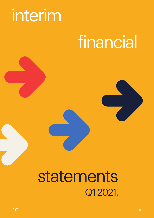# <span id="page-13-0"></span>interim

# financial

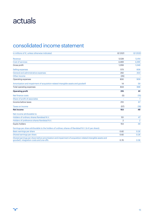# actuals

# consolidated income statement

| in millions of €, unless otherwise indicated                                                                                                           | Q1 2021        | Q1 2020        |
|--------------------------------------------------------------------------------------------------------------------------------------------------------|----------------|----------------|
| Revenue                                                                                                                                                | 5.528          | 5,414          |
| Cost of services                                                                                                                                       | 4.469          | 4,365          |
| Gross profit                                                                                                                                           | 1.059          | 1.049          |
| Selling expenses                                                                                                                                       | 573            | 606            |
| General and administrative expenses                                                                                                                    | 292            | 303            |
| Other income                                                                                                                                           | (35)           |                |
| Operating expenses                                                                                                                                     | 830            | 909            |
| Amortization and impairment of acquisition-related intangible assets and goodwill                                                                      | 14             | 59             |
| Total operating expenses                                                                                                                               | 844            | 968            |
| <b>Operating profit</b>                                                                                                                                | 215            | 81             |
| Net finance costs                                                                                                                                      | (5)            | (15)           |
| Share of profit of associates                                                                                                                          |                | $\mathbf{1}$   |
| Income before taxes                                                                                                                                    | 210            | 67             |
| <b>Taxes on income</b>                                                                                                                                 | (57)           | (18)           |
| <b>Net income</b>                                                                                                                                      | 153            | 49             |
| Net income attributable to:                                                                                                                            |                |                |
| Holders of ordinary shares Randstad N.V.                                                                                                               | 151            | 47             |
| Holders of preference shares Randstad N.V.                                                                                                             | $\overline{2}$ | $\overline{2}$ |
| <b>Equity holders</b>                                                                                                                                  | 153            | 49             |
| Earnings per share attributable to the holders of ordinary shares of Randstad N.V. (in $\epsilon$ per share):                                          |                |                |
| Basic earnings per share                                                                                                                               | 0.82           | 0.26           |
| Diluted earnings per share                                                                                                                             | 0.82           | 0.26           |
| Diluted earnings per share before amortization and impairment of acquisition-related intangible assets and<br>goodwill, integration costs and one-offs | 0.76           | 0.58           |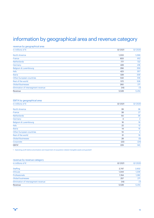# information by geographical area and revenue category

#### revenue by geographical area

| in millions of $\epsilon$           | Q1 2021 | Q1 2020 |
|-------------------------------------|---------|---------|
| <b>North America</b>                | 1,033   | 1,099   |
|                                     |         |         |
| France                              | 833     | 812     |
| <b>Netherlands</b>                  | 777     | 722     |
| Germany                             | 428     | 418     |
| Belgium & Luxembourg                | 356     | 359     |
| Italy                               | 423     | 357     |
| Iberia                              | 328     | 339     |
| <b>Other European countries</b>     | 532     | 516     |
| Rest of the world                   | 572     | 528     |
| <b>Global Businesses</b>            | 260     | 271     |
| Elimination of intersegment revenue | (14)    | (7)     |
| Revenue                             | 5,528   | 5,414   |

#### EBITA by geographical area

| in millions of $\epsilon$       | Q1 2021 | Q1 2020        |
|---------------------------------|---------|----------------|
| <b>North America</b>            | 39      | 38             |
| France                          | 38      | 27             |
| <b>Netherlands</b>              | 50      | 36             |
| Germany                         | 3       | $\overline{2}$ |
| Belgium & Luxembourg            | 16      | 16             |
| Italy                           | 22      | 12             |
| Iberia                          | 14      | 15             |
| <b>Other European countries</b> | 10      | $\overline{4}$ |
| Rest of the world               | 31      | 19             |
| <b>Global Businesses</b>        | 28      | (5)            |
| Corporate                       | (22)    | (24)           |
| EBITA <sup>1</sup>              | 229     | 140            |
|                                 |         |                |

1 Operating profit before amortization and impairment of acquisition-related intangible assets and goodwill

#### revenue by revenue category

| in millions of $\epsilon$           | Q1 2021 | Q1 2020 |
|-------------------------------------|---------|---------|
| <b>Staffing</b>                     | 2.747   | 2,632   |
| Inhouse                             | 1,344   | 1,236   |
| Professionals                       | 1.194   | 1,282   |
| <b>Global businesses</b>            | 257     | 271     |
| Elimination of intersegment revenue | (14)    | (7)     |
| Revenue                             | 5,528   | 5,414   |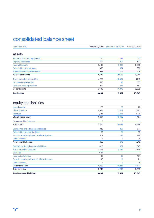# consolidated balance sheet

| in millions of €                            | march 31, 2021 | december 31, 2020 | march 31, 2020 |
|---------------------------------------------|----------------|-------------------|----------------|
| assets                                      |                |                   |                |
| Property, plant and equipment               | 140            | 139               | 152            |
| Right-of-use assets                         | 491            | 511               | 551            |
| Intangible assets                           | 3,109          | 3,082             | 3,266          |
| Deferred income tax assets                  | 658            | 674               | 598            |
| <b>Financial assets and associates</b>      | 178            | 202               | 478            |
| Non-current assets                          | 4,576          | 4,608             | 5,045          |
| <b>Trade and other receivables</b>          | 4,551          | 4,407             | 4,515          |
| Income tax receivables                      | 135            | 98                | 200            |
| Cash and cash equivalents                   | 622            | 474               | 587            |
| <b>Current assets</b>                       | 5,308          | 4,979             | 5,302          |
| <b>Total assets</b>                         | 9,884          | 9,587             | 10,347         |
| equity and liabilities                      |                |                   |                |
| <b>Issued capital</b>                       | 26             | 26                | 26             |
| Share premium                               | 2,323          | 2,287             | 2,287          |
| <b>Reserves</b>                             | 1,915          | 2,355             | 2,174          |
| Shareholders' equity                        | 4,264          | 4,668             | 4,487          |
| Non-controlling interests                   | 1              | 1                 | 1              |
| <b>Total equity</b>                         | 4,265          | 4,669             | 4,488          |
| Borrowings (including lease liabilities)    | 388            | 397               | 977            |
| Deferred income tax liabilities             | 35             | 31                | 35             |
| Provisions and employee benefit obligations | 257            | 243               | 228            |
| <b>Other liabilities</b>                    | $\overline{2}$ | $\overline{2}$    | 9              |
| Non-current liabilities                     | 682            | 673               | 1,249          |
| Borrowings (including lease liabilities)    | 420            | 332               | 1,047          |
| Trade and other payables                    | 3,742          | 3,735             | 3,339          |
| <b>Dividend</b>                             | 604            |                   |                |
| <b>Income tax liabilities</b>               | 66             | 65                | 107            |
| Provisions and employee benefit obligations | 103            | 111               | 111            |
| <b>Other liabilities</b>                    | $\overline{2}$ | $\overline{2}$    | 6              |
| <b>Current liabilities</b>                  | 4,937          | 4,245             | 4,610          |
| <b>Total liabilities</b>                    | 5,619          | 4,918             | 5,859          |
| <b>Total equity and liabilities</b>         | 9,884          | 9,587             | 10,347         |
|                                             |                |                   |                |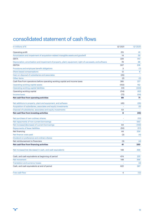## consolidated statement of cash flows

| in millions of $\epsilon$                                                                                  | Q1 2021 | Q1 2020             |
|------------------------------------------------------------------------------------------------------------|---------|---------------------|
| Operating profit                                                                                           | 215     | 81                  |
| Amortization and impairment of acquisition-related intangible assets and goodwill                          | 14      | 59                  |
| <b>EBITA</b>                                                                                               | 229     | 140                 |
| Depreciation, amortization and impairment of property, plant, equipment, right-of-use assets, and software | 78      | 88                  |
| <b>EBITDA</b>                                                                                              | 307     | 228                 |
| Provisions and employee benefit obligations                                                                | 3       | (7)                 |
| Share-based compensations                                                                                  | 12      | 8                   |
| Gain on disposal of subsidiaries and associates                                                            | (35)    | $\bar{\phantom{a}}$ |
| Other items                                                                                                | (2)     | (2)                 |
| Cash flow from operations before operating working capital and income taxes                                | 285     | 227                 |
| Operating working capital assets                                                                           | (102)   | 162                 |
| Operating working capital liabilities                                                                      | (12)    | (224)               |
| Operating working capital                                                                                  | (114)   | (62)                |
| Income taxes                                                                                               | (72)    | (94)                |
| Net cash flow from operating activities                                                                    | 99      | 71                  |
| Net additions in property, plant and equipment, and software                                               | (45)    | (26)                |
| Acquisition of subsidiaries, associates and equity investments                                             |         | (9)                 |
| Disposal of subsidiaries, associates and equity investments                                                | 53      |                     |
| Net cash flow from investing activities                                                                    | 8       | (35)                |
| Net purchase of own ordinary shares                                                                        |         | (10)                |
| Net repayments of non-current borrowings                                                                   |         | 550                 |
| Net increase/(decrease) of current borrowings                                                              | 94      | (149)               |
| <b>Repayments of lease liabilities</b>                                                                     | (50)    | (57)                |
| Net financing                                                                                              | 44      | 334                 |
| Net finance costs paid                                                                                     | (3)     | (4)                 |
| Dividend on preference and ordinary shares                                                                 |         |                     |
| Net reimbursement to financiers                                                                            | (3)     | (4)                 |
| Net cash flow from financing activities                                                                    | 41      | 330                 |
| Net increase/(net decrease) in cash, and cash equivalents                                                  | 148     | 366                 |
| Cash, and cash equivalents at beginning of period                                                          | 474     | 225                 |
| Net movement                                                                                               | 148     | 366                 |
| <b>Translation and currency losses</b>                                                                     |         | (4)                 |
| Cash, and cash equivalents at end of period                                                                | 622     | 587                 |
| Free cash flow                                                                                             | 4       | (12)                |
|                                                                                                            |         |                     |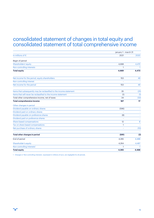### consolidated statement of changes in total equity and consolidated statement of total comprehensive income

|                                                                     | january 1 - march 31 |              |
|---------------------------------------------------------------------|----------------------|--------------|
| in millions of $\epsilon$                                           | 2021                 | 2020         |
| Begin of period                                                     |                      |              |
| Shareholders' equity                                                | 4,668                | 4,472        |
| Non-controlling interests                                           | 1                    | $\mathbf{1}$ |
| <b>Total equity</b>                                                 | 4,669                | 4,473        |
| Net income for the period, equity shareholders                      | 153                  | 49           |
| Non-controlling interest                                            |                      |              |
| Net income for the period                                           | 153                  | 49           |
| Items that subsequently may be reclassified to the income statement | 35                   | (31)         |
| Items that will never be reclassified to the income statement       | (1)                  | (1)          |
| Total other comprehensive income, net of taxes                      | 34                   | (32)         |
| Total comprehensive income                                          | 187                  | 17           |
| Other changes in period                                             |                      |              |
| Dividend payable on ordinary shares                                 | (596)                |              |
| Dividend paid on ordinary shares                                    |                      |              |
| Dividend payable on preference shares                               | (8)                  |              |
| Dividend paid on preference shares                                  |                      |              |
| Share-based compensations                                           | 12                   | 8            |
| Tax on share-based compensations                                    | $\mathbf{1}$         | ÷.           |
| Net purchase of ordinary shares                                     |                      | (10)         |
|                                                                     |                      |              |
| Total other changes in period                                       | (591)                | (2)          |
| End of period                                                       | 4,265                | 4,488        |
| Shareholder's equity                                                | 4,264                | 4,487        |
| Non-controlling interests <sup>1</sup>                              | $\mathbf{1}$         | $\mathbf{1}$ |
| <b>Total equity</b>                                                 | 4,265                | 4,488        |

1 Changes in 'Non-controlling interests', expressed in millions of euro, are negligible for all periods.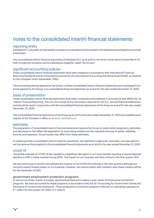## notes to the consolidated interim financial statements

#### reporting entity

Randstad N.V. is a public limited liability company incorporated and domiciled in the Netherlands and listed on Euronext Amsterdam.

The consolidated interim financial statements of Randstad N.V. as at and for the three month period ended March 31, 2021 include the company and its subsidiaries (together called 'the Group').

#### significant accounting policies

These consolidated interim financial statements have been prepared in accordance with International Financial Reporting Standards and its interpretations issued by the International Accounting Standards Board (IASB), as adopted by the European Union (hereinafter: IFRS).

The accounting policies applied by the Group in these consolidated interim financial statements are unchanged from those applied by the Group in its consolidated financial statements as at and for the year ended December 31, 2020.

#### basis of presentation

These consolidated interim financial statements have been condensed and prepared in accordance with (IFRS) IAS 34 'Interim Financial Reporting'; they do not include all the information required for full (i.e., annual) financial statements, and should be read in conjunction with the consolidated financial statements of the Group as at and for the year ended December 31, 2020.

The consolidated financial statements of the Group as at and for the year ended December 31, 2020 are available upon request at the Company's office or on [www.randstad.com](http://www.randstad.com/investor-relations/).

#### estimates

The preparation of consolidated interim financial statements requires the Group to make certain judgments, estimates, and assumptions that affect the application of accounting policies and the reported amounts of assets, liabilities, income, and expenses. Actual results may differ from these estimates.

In preparing these consolidated interim financial statements, the significant judgments, estimates, and assumptions are the same as those applied to the consolidated financial statements as at and for the year ended December 31, 2020.

#### covid-19

The global outbreak of COVID-19 has resulted in a significant disruption in our main markets resulting in unprecedented declines in GDP in these markets during 2020. The impact on our business was fairly limited in the first quarter 2021.

We are continuing to monitor and address the impacts of the COVID-19 outbreak in the next quarters although we currently expect limited impact on our business. However, we cannot predict with certainty what these impacts will be for the remainder of 2021.

#### government employment protection programs

In various countries, mainly in Europe, governments have put in place a wide variety of employment protection programs. We have accounted for these programs in accordance with IAS 20 'Accounting for Government Grants and Disclosure of Government Assistance'. These employment protection programs reduced our operating expenses by € 1 million for the quarter (Q1 2020: € 3 million).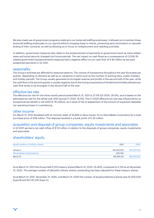We also made use of government programs relating to our (external) staffing employees. It allowed us to maintain these (external) staffing employees on our payroll without charging these to clients, preventing early termination or naturally ending of their contracts, as well as allowing us to focus on redeployment and reskilling activities.

In addition, government measures also relate to the postponement of payments to government (such as value-added taxes and social security charges) into future periods. The net impact on cash flows as a consequence of COVID-19 related government (postponement) measures had a negative effect on our cash flow of € 85 million as we paid postponed payments in Q1 2021.

#### seasonality

The Group's activities are affected by seasonal patterns. The volume of transactions throughout the year fluctuates per quarter, depending on demand as well as on variations in items such as the number of working days, public holidays and holiday periods. The Group usually generates its strongest revenue and profits in the second half of the year, while the cash flow in the second quarter is usually negative due to the timing of payments of dividend and holiday allowances; cash flow tends to be strongest in the second half of the year.

#### effective tax rate

The effective tax rate for the three month period ended March 31, 2021 is 27.0% (Q1 2020: 26.0%), and is based on the estimated tax rate for the whole year 2021 (actual FY 2020: 16.5%). The FY 2020 effective tax rate was influenced by an exceptional tax benefit in Q4 2020 ( $\epsilon$  76 million), as a result of the re-assessment of the amount of expected realizable net operating losses in Luxembourg.

#### other income

On March 31, 2021 Randstad sold its minority stake of 16,66% in Alma Career Oy to Alma Media Corporation for a total purchase price of €58 million. This disposal resulted in a book profit of € 35 million.

#### acquisition and disposal of group companies, equity investments and associates

In Q1 2021 we had a net cash inflow of € 53 million in relation to the disposals of group companies, equity investments and associates.

#### shareholders' equity

| Issued number of ordinary shares | 2021        | 2020        |
|----------------------------------|-------------|-------------|
| January 1                        | 183,303,552 | 183,303,552 |
| Share-based compensations        | 655,760     |             |
| March 31                         | 183,959,312 | 183,303,552 |

As at March 31, 2021 the Group held 5,120 treasury shares (March 31, 2020: 25,402), compared to 5,120 as at December 31, 2020. The average number of (diluted) ordinary shares outstanding has been adjusted for these treasury shares.

As at March 31, 2021, December 31, 2020, and March 31, 2020 the number of issued preference shares was 25,200,000 (type B) and 50,130,352 (type C).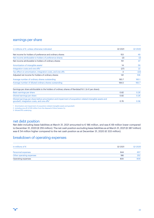#### earnings per share

| in millions of $\epsilon$ , unless otherwise indicated                                                                                                               | Q1 2021 | Q1 2020 |
|----------------------------------------------------------------------------------------------------------------------------------------------------------------------|---------|---------|
| Net income for holders of preference and ordinary shares                                                                                                             | 153     | 49      |
| Net income attributable to holders of preference shares                                                                                                              | (2)     | (2)     |
| Net income attributable to holders of ordinary shares                                                                                                                | 151     | 47      |
| Amortization of intangible assets <sup>1</sup>                                                                                                                       | 14      | 59      |
| Integration costs and one-offs <sup>2</sup>                                                                                                                          | (27)    | 22      |
| Tax effect on amortization, integration costs, and one-offs                                                                                                          | 3       | (22)    |
| Adjusted net income for holders of ordinary shares                                                                                                                   | 141     | 106     |
| Average number of ordinary shares outstanding                                                                                                                        | 183.7   | 183.1   |
| Average number of diluted ordinary shares outstanding                                                                                                                | 184.5   | 183.7   |
| Earnings per share attributable to the holders of ordinary shares of Randstad N.V. (in $\epsilon$ per share):                                                        |         |         |
| Basic earnings per share                                                                                                                                             | 0.82    | 0.26    |
| Diluted earnings per share                                                                                                                                           | 0.82    | 0.26    |
| Diluted earnings per share before amortization and impairment of acquisition-related intangible assets and<br>goodwill, integration costs, and one-offs <sup>3</sup> | 0.76    | 0.58    |

1 Amortization and impairment of acquisition-related intangible assets and goodwill.

2 including one-off of €35 million from the disposal of Alma Careers Oy

3 Diluted EPS underlying

#### net debt position

Net debt including lease liabilities at March 31, 2021 amounted to € 186 million, and was € 69 million lower compared to December 31, 2020 (€ 255 million). The net cash position excluding lease liabilities as at March 31, 2021(€ 387 million) was € 54 million higher compared to the net cash position as at December 31, 2020 (€ 333 million).

#### breakdown of operating expenses

| in millions of $\epsilon$ | Q1 2021 | Q1 2020 |
|---------------------------|---------|---------|
| Personnel expenses        | 644     | 657     |
| Other operating expenses  | 186     | 252     |
| Operating expenses        | 830     | 909     |